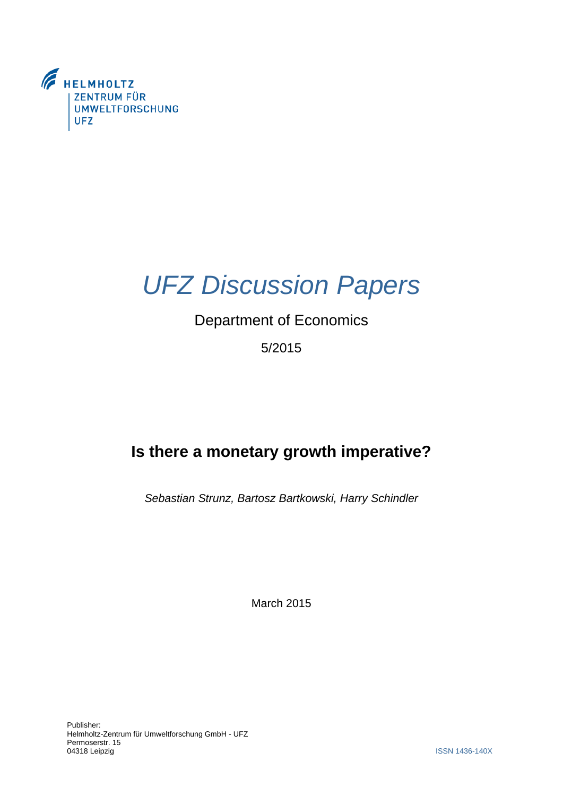



# Department of Economics

5/2015

# **Is there a monetary growth imperative?**

*Sebastian Strunz, Bartosz Bartkowski, Harry Schindler*

March 2015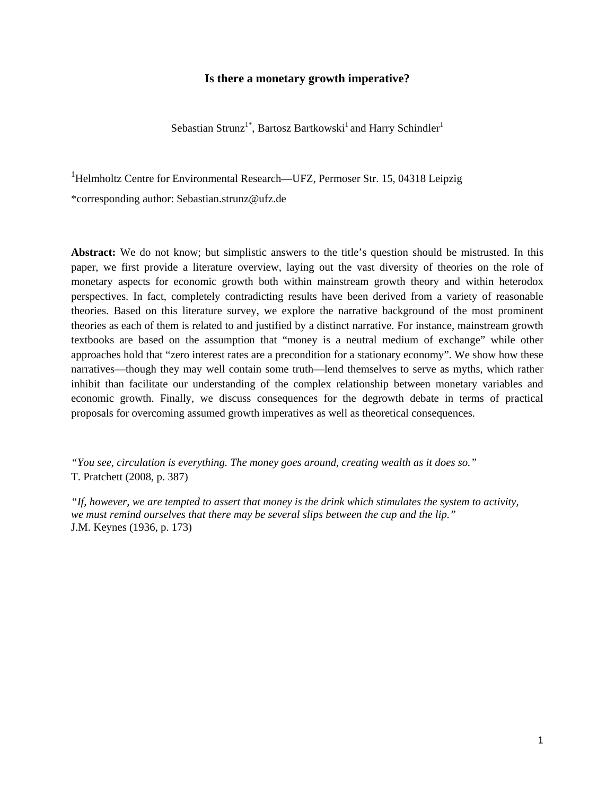#### **Is there a monetary growth imperative?**

Sebastian Strunz<sup>1\*</sup>, Bartosz Bartkowski<sup>1</sup> and Harry Schindler<sup>1</sup>

<sup>1</sup>Helmholtz Centre for Environmental Research—UFZ, Permoser Str. 15, 04318 Leipzig \*corresponding author: Sebastian.strunz@ufz.de

**Abstract:** We do not know; but simplistic answers to the title's question should be mistrusted. In this paper, we first provide a literature overview, laying out the vast diversity of theories on the role of monetary aspects for economic growth both within mainstream growth theory and within heterodox perspectives. In fact, completely contradicting results have been derived from a variety of reasonable theories. Based on this literature survey, we explore the narrative background of the most prominent theories as each of them is related to and justified by a distinct narrative. For instance, mainstream growth textbooks are based on the assumption that "money is a neutral medium of exchange" while other approaches hold that "zero interest rates are a precondition for a stationary economy". We show how these narratives—though they may well contain some truth—lend themselves to serve as myths, which rather inhibit than facilitate our understanding of the complex relationship between monetary variables and economic growth. Finally, we discuss consequences for the degrowth debate in terms of practical proposals for overcoming assumed growth imperatives as well as theoretical consequences.

*"You see, circulation is everything. The money goes around, creating wealth as it does so."*  T. Pratchett (2008, p. 387)

*"If, however, we are tempted to assert that money is the drink which stimulates the system to activity, we must remind ourselves that there may be several slips between the cup and the lip."*  J.M. Keynes (1936, p. 173)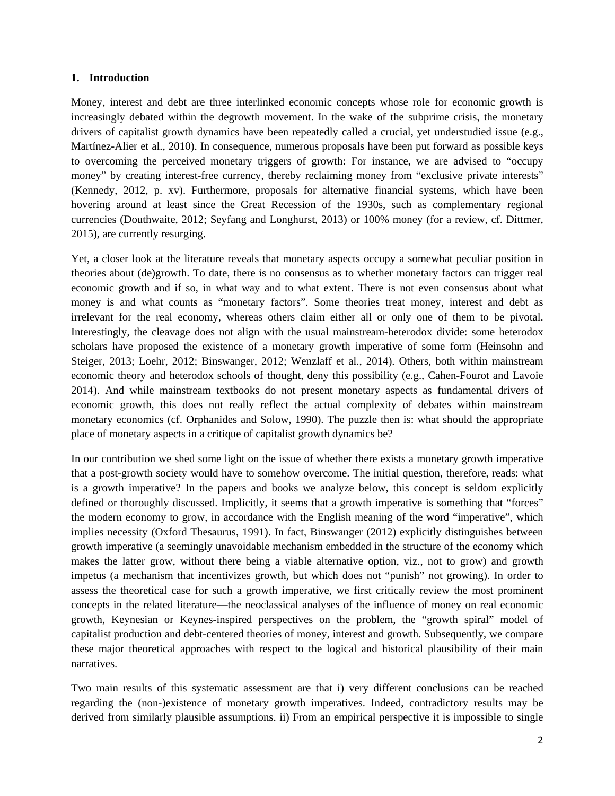#### **1. Introduction**

Money, interest and debt are three interlinked economic concepts whose role for economic growth is increasingly debated within the degrowth movement. In the wake of the subprime crisis, the monetary drivers of capitalist growth dynamics have been repeatedly called a crucial, yet understudied issue (e.g., Martínez-Alier et al., 2010). In consequence, numerous proposals have been put forward as possible keys to overcoming the perceived monetary triggers of growth: For instance, we are advised to "occupy money" by creating interest-free currency, thereby reclaiming money from "exclusive private interests" (Kennedy, 2012, p. xv). Furthermore, proposals for alternative financial systems, which have been hovering around at least since the Great Recession of the 1930s, such as complementary regional currencies (Douthwaite, 2012; Seyfang and Longhurst, 2013) or 100% money (for a review, cf. Dittmer, 2015), are currently resurging.

Yet, a closer look at the literature reveals that monetary aspects occupy a somewhat peculiar position in theories about (de)growth. To date, there is no consensus as to whether monetary factors can trigger real economic growth and if so, in what way and to what extent. There is not even consensus about what money is and what counts as "monetary factors". Some theories treat money, interest and debt as irrelevant for the real economy, whereas others claim either all or only one of them to be pivotal. Interestingly, the cleavage does not align with the usual mainstream-heterodox divide: some heterodox scholars have proposed the existence of a monetary growth imperative of some form (Heinsohn and Steiger, 2013; Loehr, 2012; Binswanger, 2012; Wenzlaff et al., 2014). Others, both within mainstream economic theory and heterodox schools of thought, deny this possibility (e.g., Cahen-Fourot and Lavoie 2014). And while mainstream textbooks do not present monetary aspects as fundamental drivers of economic growth, this does not really reflect the actual complexity of debates within mainstream monetary economics (cf. Orphanides and Solow, 1990). The puzzle then is: what should the appropriate place of monetary aspects in a critique of capitalist growth dynamics be?

In our contribution we shed some light on the issue of whether there exists a monetary growth imperative that a post-growth society would have to somehow overcome. The initial question, therefore, reads: what is a growth imperative? In the papers and books we analyze below, this concept is seldom explicitly defined or thoroughly discussed. Implicitly, it seems that a growth imperative is something that "forces" the modern economy to grow, in accordance with the English meaning of the word "imperative", which implies necessity (Oxford Thesaurus, 1991). In fact, Binswanger (2012) explicitly distinguishes between growth imperative (a seemingly unavoidable mechanism embedded in the structure of the economy which makes the latter grow, without there being a viable alternative option, viz., not to grow) and growth impetus (a mechanism that incentivizes growth, but which does not "punish" not growing). In order to assess the theoretical case for such a growth imperative, we first critically review the most prominent concepts in the related literature—the neoclassical analyses of the influence of money on real economic growth, Keynesian or Keynes-inspired perspectives on the problem, the "growth spiral" model of capitalist production and debt-centered theories of money, interest and growth. Subsequently, we compare these major theoretical approaches with respect to the logical and historical plausibility of their main narratives.

Two main results of this systematic assessment are that i) very different conclusions can be reached regarding the (non-)existence of monetary growth imperatives. Indeed, contradictory results may be derived from similarly plausible assumptions. ii) From an empirical perspective it is impossible to single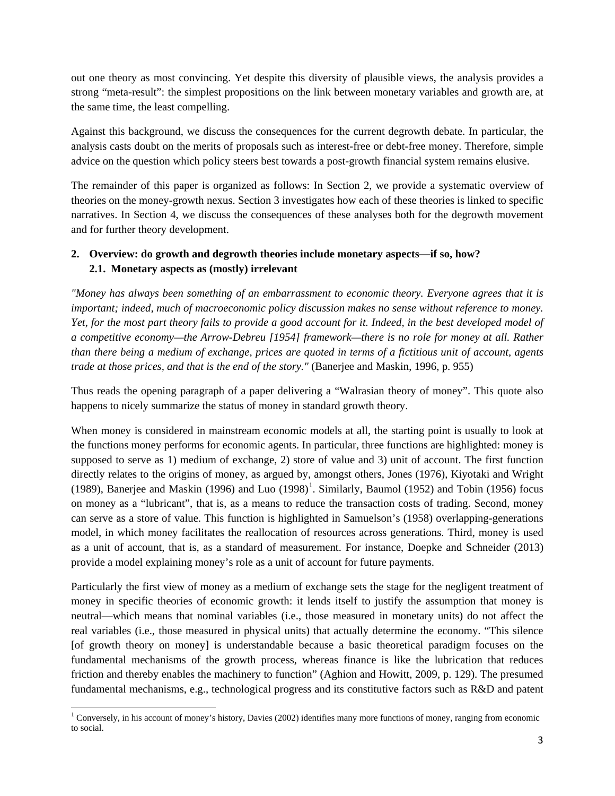out one theory as most convincing. Yet despite this diversity of plausible views, the analysis provides a strong "meta-result": the simplest propositions on the link between monetary variables and growth are, at the same time, the least compelling.

Against this background, we discuss the consequences for the current degrowth debate. In particular, the analysis casts doubt on the merits of proposals such as interest-free or debt-free money. Therefore, simple advice on the question which policy steers best towards a post-growth financial system remains elusive.

The remainder of this paper is organized as follows: In Section 2, we provide a systematic overview of theories on the money-growth nexus. Section 3 investigates how each of these theories is linked to specific narratives. In Section 4, we discuss the consequences of these analyses both for the degrowth movement and for further theory development.

# **2. Overview: do growth and degrowth theories include monetary aspects—if so, how? 2.1. Monetary aspects as (mostly) irrelevant**

*"Money has always been something of an embarrassment to economic theory. Everyone agrees that it is important; indeed, much of macroeconomic policy discussion makes no sense without reference to money. Yet, for the most part theory fails to provide a good account for it. Indeed, in the best developed model of a competitive economy—the Arrow-Debreu [1954] framework—there is no role for money at all. Rather than there being a medium of exchange, prices are quoted in terms of a fictitious unit of account, agents trade at those prices, and that is the end of the story."* (Banerjee and Maskin, 1996, p. 955)

Thus reads the opening paragraph of a paper delivering a "Walrasian theory of money". This quote also happens to nicely summarize the status of money in standard growth theory.

When money is considered in mainstream economic models at all, the starting point is usually to look at the functions money performs for economic agents. In particular, three functions are highlighted: money is supposed to serve as 1) medium of exchange, 2) store of value and 3) unit of account. The first function directly relates to the origins of money, as argued by, amongst others, Jones (1976), Kiyotaki and Wright ([1](#page-3-0)989), Banerjee and Maskin (1996) and Luo  $(1998)^1$ . Similarly, Baumol (1952) and Tobin (1956) focus on money as a "lubricant", that is, as a means to reduce the transaction costs of trading. Second, money can serve as a store of value. This function is highlighted in Samuelson's (1958) overlapping-generations model, in which money facilitates the reallocation of resources across generations. Third, money is used as a unit of account, that is, as a standard of measurement. For instance, Doepke and Schneider (2013) provide a model explaining money's role as a unit of account for future payments.

Particularly the first view of money as a medium of exchange sets the stage for the negligent treatment of money in specific theories of economic growth: it lends itself to justify the assumption that money is neutral—which means that nominal variables (i.e., those measured in monetary units) do not affect the real variables (i.e., those measured in physical units) that actually determine the economy. "This silence [of growth theory on money] is understandable because a basic theoretical paradigm focuses on the fundamental mechanisms of the growth process, whereas finance is like the lubrication that reduces friction and thereby enables the machinery to function" (Aghion and Howitt, 2009, p. 129). The presumed fundamental mechanisms, e.g., technological progress and its constitutive factors such as R&D and patent

<span id="page-3-0"></span><sup>&</sup>lt;sup>1</sup> Conversely, in his account of money's history, Davies (2002) identifies many more functions of money, ranging from economic to social. **.**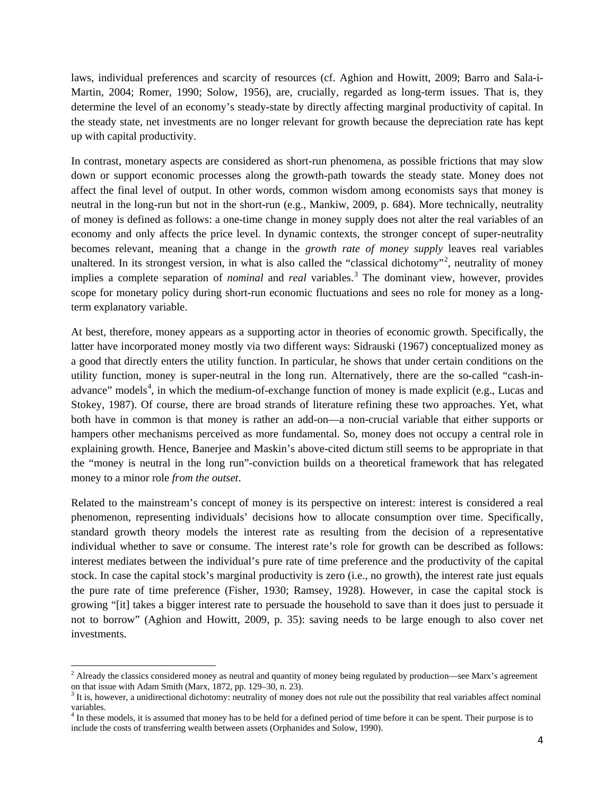laws, individual preferences and scarcity of resources (cf. Aghion and Howitt, 2009; Barro and Sala-i-Martin, 2004; Romer, 1990; Solow, 1956), are, crucially, regarded as long-term issues. That is, they determine the level of an economy's steady-state by directly affecting marginal productivity of capital. In the steady state, net investments are no longer relevant for growth because the depreciation rate has kept up with capital productivity.

In contrast, monetary aspects are considered as short-run phenomena, as possible frictions that may slow down or support economic processes along the growth-path towards the steady state. Money does not affect the final level of output. In other words, common wisdom among economists says that money is neutral in the long-run but not in the short-run (e.g., Mankiw, 2009, p. 684). More technically, neutrality of money is defined as follows: a one-time change in money supply does not alter the real variables of an economy and only affects the price level. In dynamic contexts, the stronger concept of super-neutrality becomes relevant, meaning that a change in the *growth rate of money supply* leaves real variables unaltered. In its strongest version, in what is also called the "classical dichotomy"<sup>[2](#page-4-0)</sup>, neutrality of money implies a complete separation of *nominal* and *real* variables.<sup>[3](#page-4-1)</sup> The dominant view, however, provides scope for monetary policy during short-run economic fluctuations and sees no role for money as a longterm explanatory variable.

At best, therefore, money appears as a supporting actor in theories of economic growth. Specifically, the latter have incorporated money mostly via two different ways: Sidrauski (1967) conceptualized money as a good that directly enters the utility function. In particular, he shows that under certain conditions on the utility function, money is super-neutral in the long run. Alternatively, there are the so-called "cash-in-advance" models<sup>[4](#page-4-2)</sup>, in which the medium-of-exchange function of money is made explicit (e.g., Lucas and Stokey, 1987). Of course, there are broad strands of literature refining these two approaches. Yet, what both have in common is that money is rather an add-on—a non-crucial variable that either supports or hampers other mechanisms perceived as more fundamental. So, money does not occupy a central role in explaining growth. Hence, Banerjee and Maskin's above-cited dictum still seems to be appropriate in that the "money is neutral in the long run"-conviction builds on a theoretical framework that has relegated money to a minor role *from the outset*.

Related to the mainstream's concept of money is its perspective on interest: interest is considered a real phenomenon, representing individuals' decisions how to allocate consumption over time. Specifically, standard growth theory models the interest rate as resulting from the decision of a representative individual whether to save or consume. The interest rate's role for growth can be described as follows: interest mediates between the individual's pure rate of time preference and the productivity of the capital stock. In case the capital stock's marginal productivity is zero (i.e., no growth), the interest rate just equals the pure rate of time preference (Fisher, 1930; Ramsey, 1928). However, in case the capital stock is growing "[it] takes a bigger interest rate to persuade the household to save than it does just to persuade it not to borrow" (Aghion and Howitt, 2009, p. 35): saving needs to be large enough to also cover net investments.

**.** 

<span id="page-4-0"></span> $<sup>2</sup>$  Already the classics considered money as neutral and quantity of money being regulated by production—see Marx's agreement</sup> on that issue with Adam Smith (Marx, 1872, pp. 129–30, n. 23).<br><sup>3</sup> It is, however, a unidirectional dichotomy: neutrality of money does not rule out the possibility that real variables affect nominal

<span id="page-4-1"></span>variables.

<span id="page-4-2"></span> $4$  In these models, it is assumed that money has to be held for a defined period of time before it can be spent. Their purpose is to include the costs of transferring wealth between assets (Orphanides and Solow, 1990).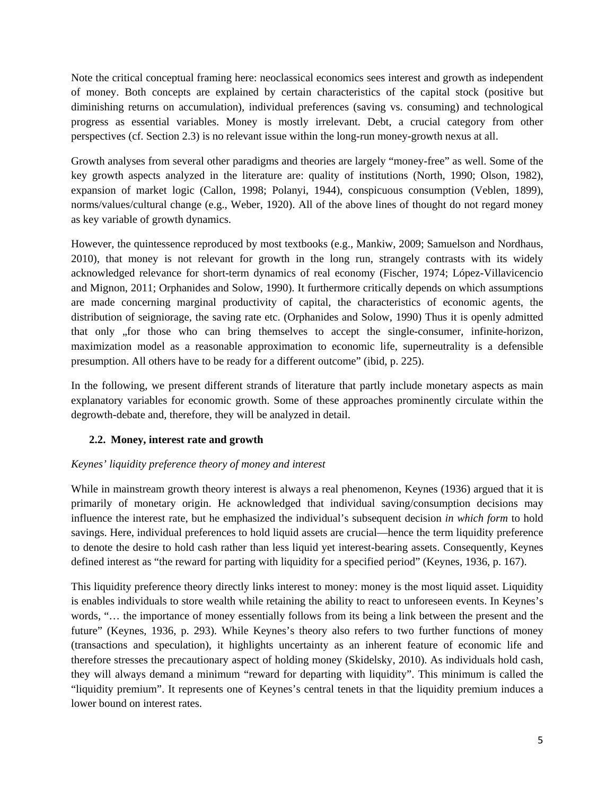Note the critical conceptual framing here: neoclassical economics sees interest and growth as independent of money. Both concepts are explained by certain characteristics of the capital stock (positive but diminishing returns on accumulation), individual preferences (saving vs. consuming) and technological progress as essential variables. Money is mostly irrelevant. Debt, a crucial category from other perspectives (cf. Section 2.3) is no relevant issue within the long-run money-growth nexus at all.

Growth analyses from several other paradigms and theories are largely "money-free" as well. Some of the key growth aspects analyzed in the literature are: quality of institutions (North, 1990; Olson, 1982), expansion of market logic (Callon, 1998; Polanyi, 1944), conspicuous consumption (Veblen, 1899), norms/values/cultural change (e.g., Weber, 1920). All of the above lines of thought do not regard money as key variable of growth dynamics.

However, the quintessence reproduced by most textbooks (e.g., Mankiw, 2009; Samuelson and Nordhaus, 2010), that money is not relevant for growth in the long run, strangely contrasts with its widely acknowledged relevance for short-term dynamics of real economy (Fischer, 1974; López-Villavicencio and Mignon, 2011; Orphanides and Solow, 1990). It furthermore critically depends on which assumptions are made concerning marginal productivity of capital, the characteristics of economic agents, the distribution of seigniorage, the saving rate etc. (Orphanides and Solow, 1990) Thus it is openly admitted that only , for those who can bring themselves to accept the single-consumer, infinite-horizon, maximization model as a reasonable approximation to economic life, superneutrality is a defensible presumption. All others have to be ready for a different outcome" (ibid, p. 225).

In the following, we present different strands of literature that partly include monetary aspects as main explanatory variables for economic growth. Some of these approaches prominently circulate within the degrowth-debate and, therefore, they will be analyzed in detail.

# **2.2. Money, interest rate and growth**

# *Keynes' liquidity preference theory of money and interest*

While in mainstream growth theory interest is always a real phenomenon, Keynes (1936) argued that it is primarily of monetary origin. He acknowledged that individual saving/consumption decisions may influence the interest rate, but he emphasized the individual's subsequent decision *in which form* to hold savings. Here, individual preferences to hold liquid assets are crucial—hence the term liquidity preference to denote the desire to hold cash rather than less liquid yet interest-bearing assets. Consequently, Keynes defined interest as "the reward for parting with liquidity for a specified period" (Keynes, 1936, p. 167).

This liquidity preference theory directly links interest to money: money is the most liquid asset. Liquidity is enables individuals to store wealth while retaining the ability to react to unforeseen events. In Keynes's words, "… the importance of money essentially follows from its being a link between the present and the future" (Keynes, 1936, p. 293). While Keynes's theory also refers to two further functions of money (transactions and speculation), it highlights uncertainty as an inherent feature of economic life and therefore stresses the precautionary aspect of holding money (Skidelsky, 2010). As individuals hold cash, they will always demand a minimum "reward for departing with liquidity". This minimum is called the "liquidity premium". It represents one of Keynes's central tenets in that the liquidity premium induces a lower bound on interest rates.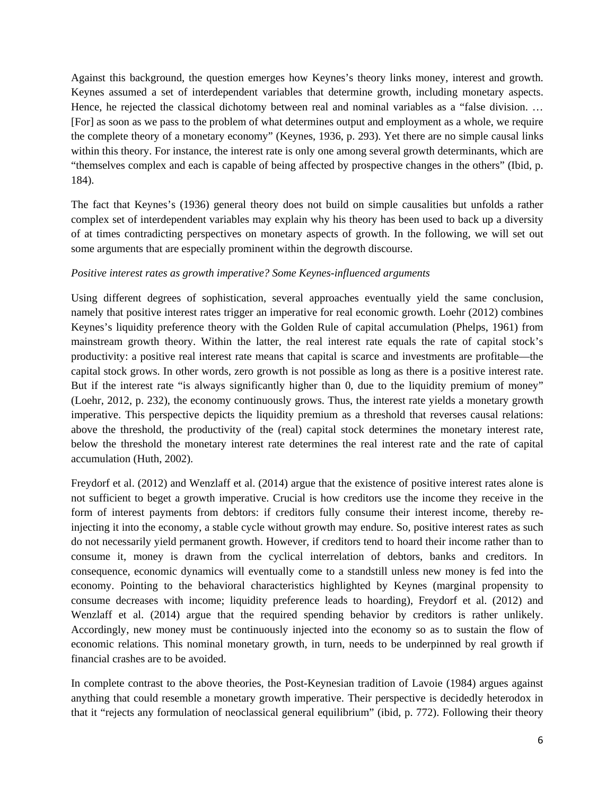Against this background, the question emerges how Keynes's theory links money, interest and growth. Keynes assumed a set of interdependent variables that determine growth, including monetary aspects. Hence, he rejected the classical dichotomy between real and nominal variables as a "false division. ... [For] as soon as we pass to the problem of what determines output and employment as a whole, we require the complete theory of a monetary economy" (Keynes, 1936, p. 293). Yet there are no simple causal links within this theory. For instance, the interest rate is only one among several growth determinants, which are "themselves complex and each is capable of being affected by prospective changes in the others" (Ibid, p. 184).

The fact that Keynes's (1936) general theory does not build on simple causalities but unfolds a rather complex set of interdependent variables may explain why his theory has been used to back up a diversity of at times contradicting perspectives on monetary aspects of growth. In the following, we will set out some arguments that are especially prominent within the degrowth discourse.

## *Positive interest rates as growth imperative? Some Keynes-influenced arguments*

Using different degrees of sophistication, several approaches eventually yield the same conclusion, namely that positive interest rates trigger an imperative for real economic growth. Loehr (2012) combines Keynes's liquidity preference theory with the Golden Rule of capital accumulation (Phelps, 1961) from mainstream growth theory. Within the latter, the real interest rate equals the rate of capital stock's productivity: a positive real interest rate means that capital is scarce and investments are profitable—the capital stock grows. In other words, zero growth is not possible as long as there is a positive interest rate. But if the interest rate "is always significantly higher than 0, due to the liquidity premium of money" (Loehr, 2012, p. 232), the economy continuously grows. Thus, the interest rate yields a monetary growth imperative. This perspective depicts the liquidity premium as a threshold that reverses causal relations: above the threshold, the productivity of the (real) capital stock determines the monetary interest rate, below the threshold the monetary interest rate determines the real interest rate and the rate of capital accumulation (Huth, 2002).

Freydorf et al. (2012) and Wenzlaff et al. (2014) argue that the existence of positive interest rates alone is not sufficient to beget a growth imperative. Crucial is how creditors use the income they receive in the form of interest payments from debtors: if creditors fully consume their interest income, thereby reinjecting it into the economy, a stable cycle without growth may endure. So, positive interest rates as such do not necessarily yield permanent growth. However, if creditors tend to hoard their income rather than to consume it, money is drawn from the cyclical interrelation of debtors, banks and creditors. In consequence, economic dynamics will eventually come to a standstill unless new money is fed into the economy. Pointing to the behavioral characteristics highlighted by Keynes (marginal propensity to consume decreases with income; liquidity preference leads to hoarding), Freydorf et al. (2012) and Wenzlaff et al. (2014) argue that the required spending behavior by creditors is rather unlikely. Accordingly, new money must be continuously injected into the economy so as to sustain the flow of economic relations. This nominal monetary growth, in turn, needs to be underpinned by real growth if financial crashes are to be avoided.

In complete contrast to the above theories, the Post-Keynesian tradition of Lavoie (1984) argues against anything that could resemble a monetary growth imperative. Their perspective is decidedly heterodox in that it "rejects any formulation of neoclassical general equilibrium" (ibid, p. 772). Following their theory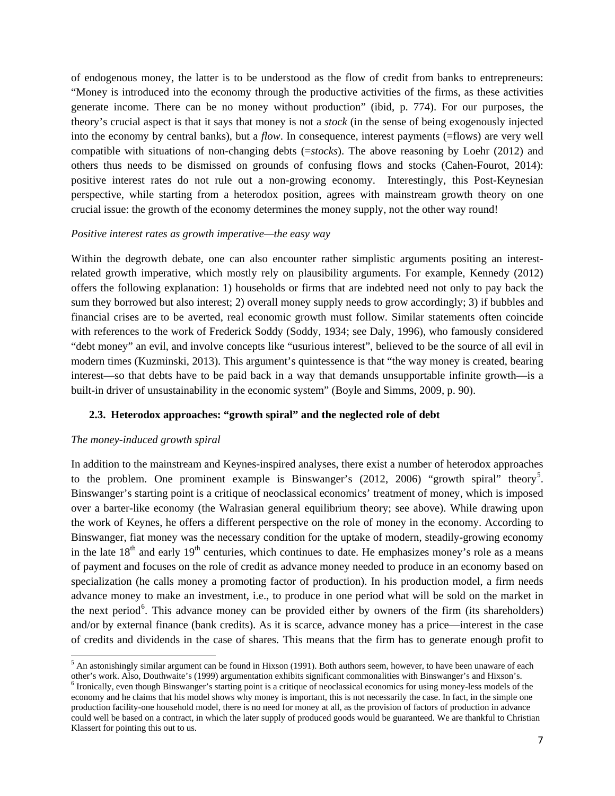of endogenous money, the latter is to be understood as the flow of credit from banks to entrepreneurs: "Money is introduced into the economy through the productive activities of the firms, as these activities generate income. There can be no money without production" (ibid, p. 774). For our purposes, the theory's crucial aspect is that it says that money is not a *stock* (in the sense of being exogenously injected into the economy by central banks), but a *flow*. In consequence, interest payments (=flows) are very well compatible with situations of non-changing debts (=*stocks*). The above reasoning by Loehr (2012) and others thus needs to be dismissed on grounds of confusing flows and stocks (Cahen-Fourot, 2014): positive interest rates do not rule out a non-growing economy. Interestingly, this Post-Keynesian perspective, while starting from a heterodox position, agrees with mainstream growth theory on one crucial issue: the growth of the economy determines the money supply, not the other way round!

#### *Positive interest rates as growth imperative—the easy way*

Within the degrowth debate, one can also encounter rather simplistic arguments positing an interestrelated growth imperative, which mostly rely on plausibility arguments. For example, Kennedy (2012) offers the following explanation: 1) households or firms that are indebted need not only to pay back the sum they borrowed but also interest; 2) overall money supply needs to grow accordingly; 3) if bubbles and financial crises are to be averted, real economic growth must follow. Similar statements often coincide with references to the work of Frederick Soddy (Soddy, 1934; see Daly, 1996), who famously considered "debt money" an evil, and involve concepts like "usurious interest", believed to be the source of all evil in modern times (Kuzminski, 2013). This argument's quintessence is that "the way money is created, bearing interest—so that debts have to be paid back in a way that demands unsupportable infinite growth—is a built-in driver of unsustainability in the economic system" (Boyle and Simms, 2009, p. 90).

## **2.3. Heterodox approaches: "growth spiral" and the neglected role of debt**

#### *The money-induced growth spiral*

**.** 

In addition to the mainstream and Keynes-inspired analyses, there exist a number of heterodox approaches to the problem. One prominent example is Binswanger's  $(2012, 2006)$  "growth spiral" theory<sup>[5](#page-7-0)</sup>. Binswanger's starting point is a critique of neoclassical economics' treatment of money, which is imposed over a barter-like economy (the Walrasian general equilibrium theory; see above). While drawing upon the work of Keynes, he offers a different perspective on the role of money in the economy. According to Binswanger, fiat money was the necessary condition for the uptake of modern, steadily-growing economy in the late  $18<sup>th</sup>$  and early  $19<sup>th</sup>$  centuries, which continues to date. He emphasizes money's role as a means of payment and focuses on the role of credit as advance money needed to produce in an economy based on specialization (he calls money a promoting factor of production). In his production model, a firm needs advance money to make an investment, i.e., to produce in one period what will be sold on the market in the next period<sup>[6](#page-7-1)</sup>. This advance money can be provided either by owners of the firm (its shareholders) and/or by external finance (bank credits). As it is scarce, advance money has a price—interest in the case of credits and dividends in the case of shares. This means that the firm has to generate enough profit to

<span id="page-7-0"></span> $<sup>5</sup>$  An astonishingly similar argument can be found in Hixson (1991). Both authors seem, however, to have been unaware of each</sup> other's work. Also, Douthwaite's (1999) argumentation exhibits significant commonalities with Binswanger's and Hixson's.<br><sup>6</sup> Ironically, even though Binswanger's starting point is a critique of neoclassical economics for u

<span id="page-7-1"></span>economy and he claims that his model shows why money is important, this is not necessarily the case. In fact, in the simple one production facility-one household model, there is no need for money at all, as the provision of factors of production in advance could well be based on a contract, in which the later supply of produced goods would be guaranteed. We are thankful to Christian Klassert for pointing this out to us.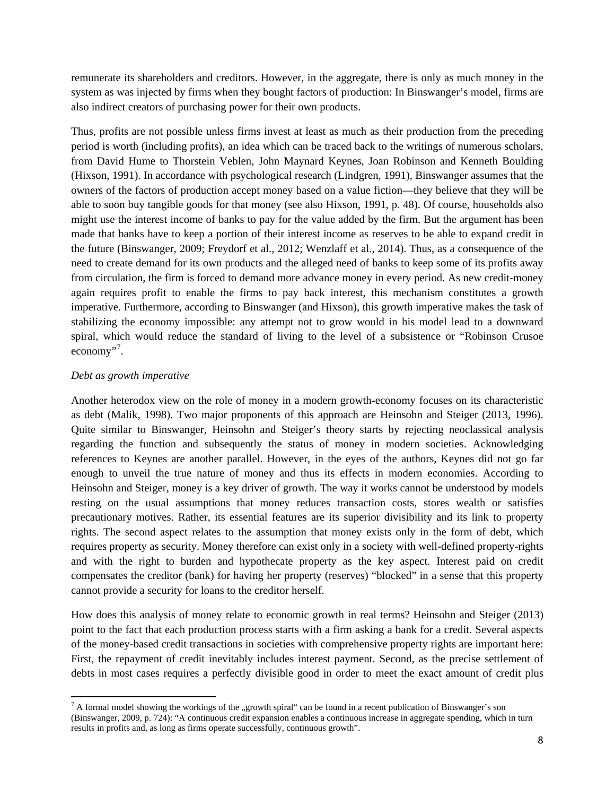remunerate its shareholders and creditors. However, in the aggregate, there is only as much money in the system as was injected by firms when they bought factors of production: In Binswanger's model, firms are also indirect creators of purchasing power for their own products.

Thus, profits are not possible unless firms invest at least as much as their production from the preceding period is worth (including profits), an idea which can be traced back to the writings of numerous scholars, from David Hume to Thorstein Veblen, John Maynard Keynes, Joan Robinson and Kenneth Boulding (Hixson, 1991). In accordance with psychological research (Lindgren, 1991), Binswanger assumes that the owners of the factors of production accept money based on a value fiction—they believe that they will be able to soon buy tangible goods for that money (see also Hixson, 1991, p. 48). Of course, households also might use the interest income of banks to pay for the value added by the firm. But the argument has been made that banks have to keep a portion of their interest income as reserves to be able to expand credit in the future (Binswanger, 2009; Freydorf et al., 2012; Wenzlaff et al., 2014). Thus, as a consequence of the need to create demand for its own products and the alleged need of banks to keep some of its profits away from circulation, the firm is forced to demand more advance money in every period. As new credit-money again requires profit to enable the firms to pay back interest, this mechanism constitutes a growth imperative. Furthermore, according to Binswanger (and Hixson), this growth imperative makes the task of stabilizing the economy impossible: any attempt not to grow would in his model lead to a downward spiral, which would reduce the standard of living to the level of a subsistence or "Robinson Crusoe economy"<sup>[7](#page-8-0)</sup>.

## *Debt as growth imperative*

Another heterodox view on the role of money in a modern growth-economy focuses on its characteristic as debt (Malik, 1998). Two major proponents of this approach are Heinsohn and Steiger (2013, 1996). Quite similar to Binswanger, Heinsohn and Steiger's theory starts by rejecting neoclassical analysis regarding the function and subsequently the status of money in modern societies. Acknowledging references to Keynes are another parallel. However, in the eyes of the authors, Keynes did not go far enough to unveil the true nature of money and thus its effects in modern economies. According to Heinsohn and Steiger, money is a key driver of growth. The way it works cannot be understood by models resting on the usual assumptions that money reduces transaction costs, stores wealth or satisfies precautionary motives. Rather, its essential features are its superior divisibility and its link to property rights. The second aspect relates to the assumption that money exists only in the form of debt, which requires property as security. Money therefore can exist only in a society with well-defined property-rights and with the right to burden and hypothecate property as the key aspect. Interest paid on credit compensates the creditor (bank) for having her property (reserves) "blocked" in a sense that this property cannot provide a security for loans to the creditor herself.

How does this analysis of money relate to economic growth in real terms? Heinsohn and Steiger (2013) point to the fact that each production process starts with a firm asking a bank for a credit. Several aspects of the money-based credit transactions in societies with comprehensive property rights are important here: First, the repayment of credit inevitably includes interest payment. Second, as the precise settlement of debts in most cases requires a perfectly divisible good in order to meet the exact amount of credit plus

<span id="page-8-0"></span> $^7$  A formal model showing the workings of the "growth spiral" can be found in a recent publication of Binswanger's son (Binswanger, 2009, p. 724): "A continuous credit expansion enables a continuous increase in aggregate spending, which in turn results in profits and, as long as firms operate successfully, continuous growth".  $\overline{\phantom{a}}$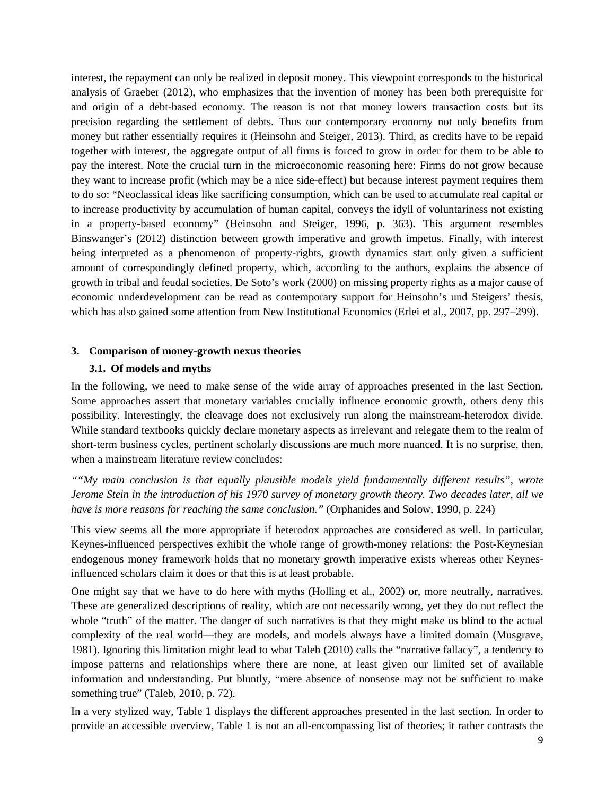interest, the repayment can only be realized in deposit money. This viewpoint corresponds to the historical analysis of Graeber (2012), who emphasizes that the invention of money has been both prerequisite for and origin of a debt-based economy. The reason is not that money lowers transaction costs but its precision regarding the settlement of debts. Thus our contemporary economy not only benefits from money but rather essentially requires it (Heinsohn and Steiger, 2013). Third, as credits have to be repaid together with interest, the aggregate output of all firms is forced to grow in order for them to be able to pay the interest. Note the crucial turn in the microeconomic reasoning here: Firms do not grow because they want to increase profit (which may be a nice side-effect) but because interest payment requires them to do so: "Neoclassical ideas like sacrificing consumption, which can be used to accumulate real capital or to increase productivity by accumulation of human capital, conveys the idyll of voluntariness not existing in a property-based economy" (Heinsohn and Steiger, 1996, p. 363). This argument resembles Binswanger's (2012) distinction between growth imperative and growth impetus. Finally, with interest being interpreted as a phenomenon of property-rights, growth dynamics start only given a sufficient amount of correspondingly defined property, which, according to the authors, explains the absence of growth in tribal and feudal societies. De Soto's work (2000) on missing property rights as a major cause of economic underdevelopment can be read as contemporary support for Heinsohn's und Steigers' thesis, which has also gained some attention from New Institutional Economics (Erlei et al., 2007, pp. 297–299).

#### **3. Comparison of money-growth nexus theories**

#### **3.1. Of models and myths**

In the following, we need to make sense of the wide array of approaches presented in the last Section. Some approaches assert that monetary variables crucially influence economic growth, others deny this possibility. Interestingly, the cleavage does not exclusively run along the mainstream-heterodox divide. While standard textbooks quickly declare monetary aspects as irrelevant and relegate them to the realm of short-term business cycles, pertinent scholarly discussions are much more nuanced. It is no surprise, then, when a mainstream literature review concludes:

*""My main conclusion is that equally plausible models yield fundamentally different results", wrote Jerome Stein in the introduction of his 1970 survey of monetary growth theory. Two decades later, all we have is more reasons for reaching the same conclusion."* (Orphanides and Solow, 1990, p. 224)

This view seems all the more appropriate if heterodox approaches are considered as well. In particular, Keynes-influenced perspectives exhibit the whole range of growth-money relations: the Post-Keynesian endogenous money framework holds that no monetary growth imperative exists whereas other Keynesinfluenced scholars claim it does or that this is at least probable.

One might say that we have to do here with myths (Holling et al., 2002) or, more neutrally, narratives. These are generalized descriptions of reality, which are not necessarily wrong, yet they do not reflect the whole "truth" of the matter. The danger of such narratives is that they might make us blind to the actual complexity of the real world—they are models, and models always have a limited domain (Musgrave, 1981). Ignoring this limitation might lead to what Taleb (2010) calls the "narrative fallacy", a tendency to impose patterns and relationships where there are none, at least given our limited set of available information and understanding. Put bluntly, "mere absence of nonsense may not be sufficient to make something true" (Taleb, 2010, p. 72).

In a very stylized way, Table 1 displays the different approaches presented in the last section. In order to provide an accessible overview, Table 1 is not an all-encompassing list of theories; it rather contrasts the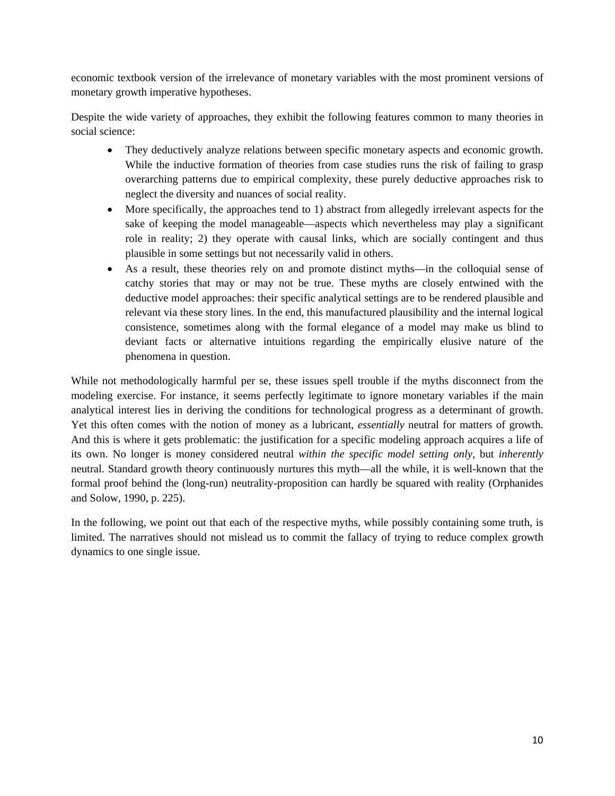economic textbook version of the irrelevance of monetary variables with the most prominent versions of monetary growth imperative hypotheses.

Despite the wide variety of approaches, they exhibit the following features common to many theories in social science:

- They deductively analyze relations between specific monetary aspects and economic growth. While the inductive formation of theories from case studies runs the risk of failing to grasp overarching patterns due to empirical complexity, these purely deductive approaches risk to neglect the diversity and nuances of social reality.
- More specifically, the approaches tend to 1) abstract from allegedly irrelevant aspects for the sake of keeping the model manageable—aspects which nevertheless may play a significant role in reality; 2) they operate with causal links, which are socially contingent and thus plausible in some settings but not necessarily valid in others.
- As a result, these theories rely on and promote distinct myths—in the colloquial sense of catchy stories that may or may not be true. These myths are closely entwined with the deductive model approaches: their specific analytical settings are to be rendered plausible and relevant via these story lines. In the end, this manufactured plausibility and the internal logical consistence, sometimes along with the formal elegance of a model may make us blind to deviant facts or alternative intuitions regarding the empirically elusive nature of the phenomena in question.

While not methodologically harmful per se, these issues spell trouble if the myths disconnect from the modeling exercise. For instance, it seems perfectly legitimate to ignore monetary variables if the main analytical interest lies in deriving the conditions for technological progress as a determinant of growth. Yet this often comes with the notion of money as a lubricant, *essentially* neutral for matters of growth. And this is where it gets problematic: the justification for a specific modeling approach acquires a life of its own. No longer is money considered neutral *within the specific model setting only,* but *inherently* neutral. Standard growth theory continuously nurtures this myth—all the while, it is well-known that the formal proof behind the (long-run) neutrality-proposition can hardly be squared with reality (Orphanides and Solow, 1990, p. 225).

In the following, we point out that each of the respective myths, while possibly containing some truth, is limited. The narratives should not mislead us to commit the fallacy of trying to reduce complex growth dynamics to one single issue.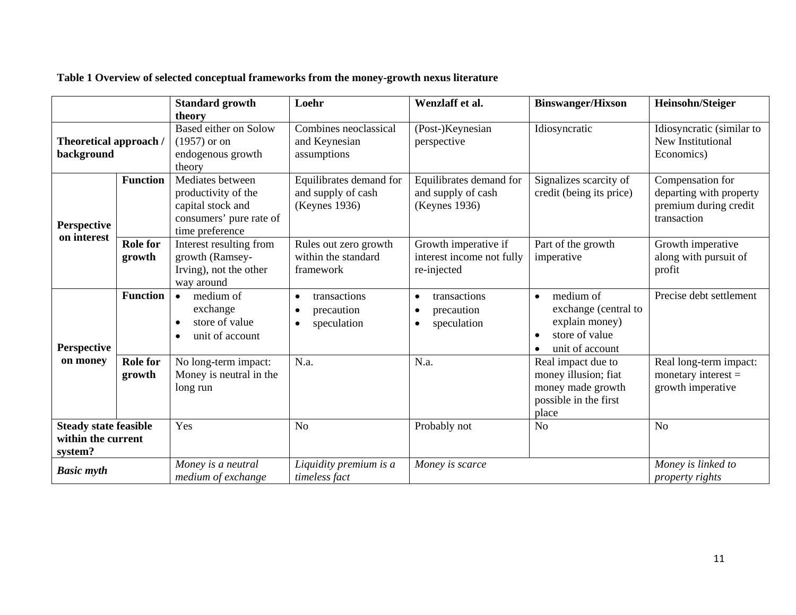| Table 1 Overview of selected conceptual frameworks from the money-growth nexus literature |  |  |
|-------------------------------------------------------------------------------------------|--|--|
|-------------------------------------------------------------------------------------------|--|--|

|                                                               |                           | <b>Standard growth</b>                                                                                     | Loehr                                                                            | Wenzlaff et al.                                                  | <b>Binswanger/Hixson</b>                                                                              | Heinsohn/Steiger                                                                    |
|---------------------------------------------------------------|---------------------------|------------------------------------------------------------------------------------------------------------|----------------------------------------------------------------------------------|------------------------------------------------------------------|-------------------------------------------------------------------------------------------------------|-------------------------------------------------------------------------------------|
|                                                               |                           | theory                                                                                                     |                                                                                  |                                                                  |                                                                                                       |                                                                                     |
| Theoretical approach /<br>background                          |                           | Based either on Solow<br>$(1957)$ or on<br>endogenous growth<br>theory                                     | Combines neoclassical<br>and Keynesian<br>assumptions                            | (Post-)Keynesian<br>perspective                                  | Idiosyncratic                                                                                         | Idiosyncratic (similar to<br><b>New Institutional</b><br>Economics)                 |
| <b>Perspective</b><br>on interest                             | <b>Function</b>           | Mediates between<br>productivity of the<br>capital stock and<br>consumers' pure rate of<br>time preference | Equilibrates demand for<br>and supply of cash<br>(Keynes 1936)                   | Equilibrates demand for<br>and supply of cash<br>(Keynes 1936)   | Signalizes scarcity of<br>credit (being its price)                                                    | Compensation for<br>departing with property<br>premium during credit<br>transaction |
|                                                               | <b>Role for</b><br>growth | Interest resulting from<br>growth (Ramsey-<br>Irving), not the other<br>way around                         | Rules out zero growth<br>within the standard<br>framework                        | Growth imperative if<br>interest income not fully<br>re-injected | Part of the growth<br>imperative                                                                      | Growth imperative<br>along with pursuit of<br>profit                                |
| <b>Perspective</b><br>on money                                | <b>Function</b>           | medium of<br>$\bullet$<br>exchange<br>store of value<br>unit of account                                    | transactions<br>$\bullet$<br>precaution<br>$\bullet$<br>speculation<br>$\bullet$ | transactions<br>precaution<br>speculation                        | medium of<br>$\bullet$<br>exchange (central to<br>explain money)<br>store of value<br>unit of account | Precise debt settlement                                                             |
|                                                               | <b>Role</b> for<br>growth | No long-term impact:<br>Money is neutral in the<br>long run                                                | N.a.                                                                             | N.a.                                                             | Real impact due to<br>money illusion; fiat<br>money made growth<br>possible in the first<br>place     | Real long-term impact:<br>monetary interest $=$<br>growth imperative                |
| <b>Steady state feasible</b><br>within the current<br>system? |                           | Yes                                                                                                        | N <sub>o</sub>                                                                   | Probably not                                                     | N <sub>o</sub>                                                                                        | No                                                                                  |
| <b>Basic myth</b>                                             |                           | Money is a neutral<br>medium of exchange                                                                   | Liquidity premium is a<br>timeless fact                                          | Money is scarce                                                  |                                                                                                       | Money is linked to<br><i>property rights</i>                                        |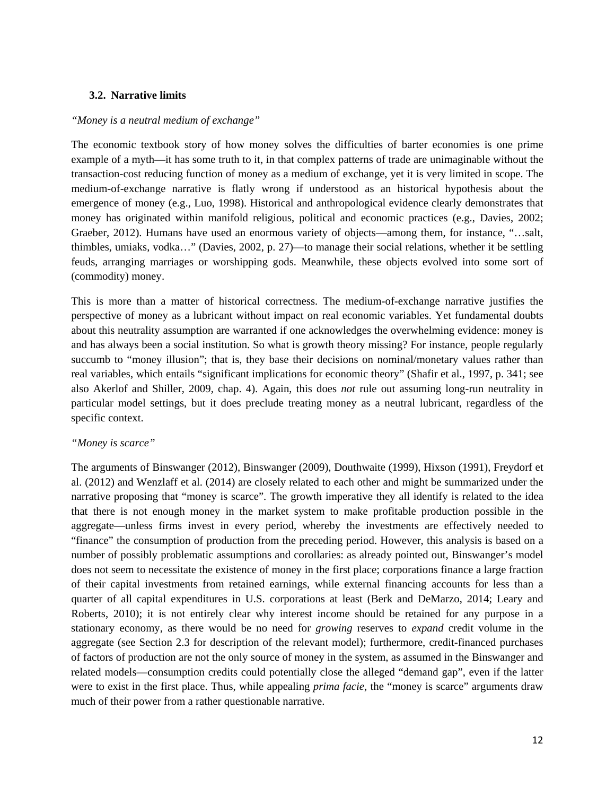## **3.2. Narrative limits**

#### *"Money is a neutral medium of exchange"*

The economic textbook story of how money solves the difficulties of barter economies is one prime example of a myth—it has some truth to it, in that complex patterns of trade are unimaginable without the transaction-cost reducing function of money as a medium of exchange, yet it is very limited in scope. The medium-of-exchange narrative is flatly wrong if understood as an historical hypothesis about the emergence of money (e.g., Luo, 1998). Historical and anthropological evidence clearly demonstrates that money has originated within manifold religious, political and economic practices (e.g., Davies, 2002; Graeber, 2012). Humans have used an enormous variety of objects—among them, for instance, "…salt, thimbles, umiaks, vodka…" (Davies, 2002, p. 27)—to manage their social relations, whether it be settling feuds, arranging marriages or worshipping gods. Meanwhile, these objects evolved into some sort of (commodity) money.

This is more than a matter of historical correctness. The medium-of-exchange narrative justifies the perspective of money as a lubricant without impact on real economic variables. Yet fundamental doubts about this neutrality assumption are warranted if one acknowledges the overwhelming evidence: money is and has always been a social institution. So what is growth theory missing? For instance, people regularly succumb to "money illusion"; that is, they base their decisions on nominal/monetary values rather than real variables, which entails "significant implications for economic theory" (Shafir et al., 1997, p. 341; see also Akerlof and Shiller, 2009, chap. 4). Again, this does *not* rule out assuming long-run neutrality in particular model settings, but it does preclude treating money as a neutral lubricant, regardless of the specific context.

## *"Money is scarce"*

The arguments of Binswanger (2012), Binswanger (2009), Douthwaite (1999), Hixson (1991), Freydorf et al. (2012) and Wenzlaff et al. (2014) are closely related to each other and might be summarized under the narrative proposing that "money is scarce". The growth imperative they all identify is related to the idea that there is not enough money in the market system to make profitable production possible in the aggregate—unless firms invest in every period, whereby the investments are effectively needed to "finance" the consumption of production from the preceding period. However, this analysis is based on a number of possibly problematic assumptions and corollaries: as already pointed out, Binswanger's model does not seem to necessitate the existence of money in the first place; corporations finance a large fraction of their capital investments from retained earnings, while external financing accounts for less than a quarter of all capital expenditures in U.S. corporations at least (Berk and DeMarzo, 2014; Leary and Roberts, 2010); it is not entirely clear why interest income should be retained for any purpose in a stationary economy, as there would be no need for *growing* reserves to *expand* credit volume in the aggregate (see Section 2.3 for description of the relevant model); furthermore, credit-financed purchases of factors of production are not the only source of money in the system, as assumed in the Binswanger and related models—consumption credits could potentially close the alleged "demand gap", even if the latter were to exist in the first place. Thus, while appealing *prima facie*, the "money is scarce" arguments draw much of their power from a rather questionable narrative.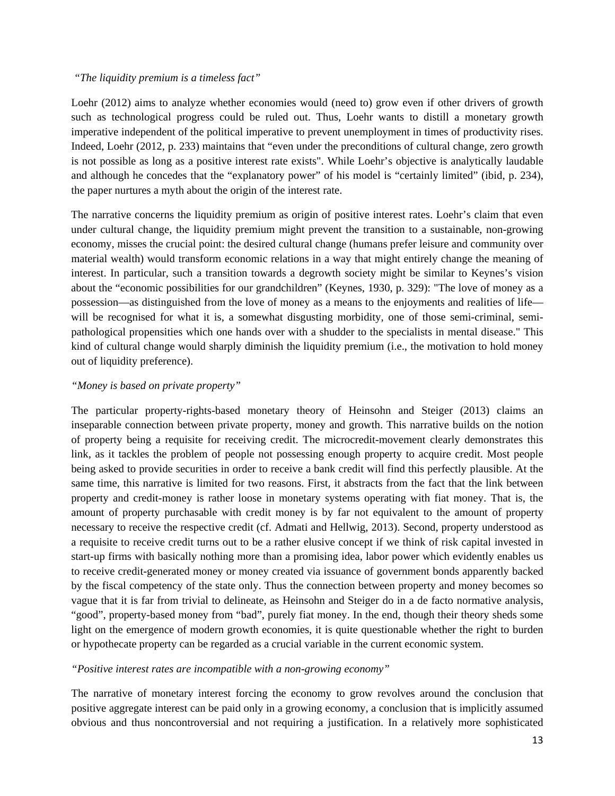#### *"The liquidity premium is a timeless fact"*

Loehr (2012) aims to analyze whether economies would (need to) grow even if other drivers of growth such as technological progress could be ruled out. Thus, Loehr wants to distill a monetary growth imperative independent of the political imperative to prevent unemployment in times of productivity rises. Indeed, Loehr (2012, p. 233) maintains that "even under the preconditions of cultural change, zero growth is not possible as long as a positive interest rate exists". While Loehr's objective is analytically laudable and although he concedes that the "explanatory power" of his model is "certainly limited" (ibid, p. 234), the paper nurtures a myth about the origin of the interest rate.

The narrative concerns the liquidity premium as origin of positive interest rates. Loehr's claim that even under cultural change, the liquidity premium might prevent the transition to a sustainable, non-growing economy, misses the crucial point: the desired cultural change (humans prefer leisure and community over material wealth) would transform economic relations in a way that might entirely change the meaning of interest. In particular, such a transition towards a degrowth society might be similar to Keynes's vision about the "economic possibilities for our grandchildren" (Keynes, 1930, p. 329): "The love of money as a possession—as distinguished from the love of money as a means to the enjoyments and realities of life will be recognised for what it is, a somewhat disgusting morbidity, one of those semi-criminal, semipathological propensities which one hands over with a shudder to the specialists in mental disease." This kind of cultural change would sharply diminish the liquidity premium (i.e., the motivation to hold money out of liquidity preference).

## *"Money is based on private property"*

The particular property-rights-based monetary theory of Heinsohn and Steiger (2013) claims an inseparable connection between private property, money and growth. This narrative builds on the notion of property being a requisite for receiving credit. The microcredit-movement clearly demonstrates this link, as it tackles the problem of people not possessing enough property to acquire credit. Most people being asked to provide securities in order to receive a bank credit will find this perfectly plausible. At the same time, this narrative is limited for two reasons. First, it abstracts from the fact that the link between property and credit-money is rather loose in monetary systems operating with fiat money. That is, the amount of property purchasable with credit money is by far not equivalent to the amount of property necessary to receive the respective credit (cf. Admati and Hellwig, 2013). Second, property understood as a requisite to receive credit turns out to be a rather elusive concept if we think of risk capital invested in start-up firms with basically nothing more than a promising idea, labor power which evidently enables us to receive credit-generated money or money created via issuance of government bonds apparently backed by the fiscal competency of the state only. Thus the connection between property and money becomes so vague that it is far from trivial to delineate, as Heinsohn and Steiger do in a de facto normative analysis, "good", property-based money from "bad", purely fiat money. In the end, though their theory sheds some light on the emergence of modern growth economies, it is quite questionable whether the right to burden or hypothecate property can be regarded as a crucial variable in the current economic system.

#### *"Positive interest rates are incompatible with a non-growing economy"*

The narrative of monetary interest forcing the economy to grow revolves around the conclusion that positive aggregate interest can be paid only in a growing economy, a conclusion that is implicitly assumed obvious and thus noncontroversial and not requiring a justification. In a relatively more sophisticated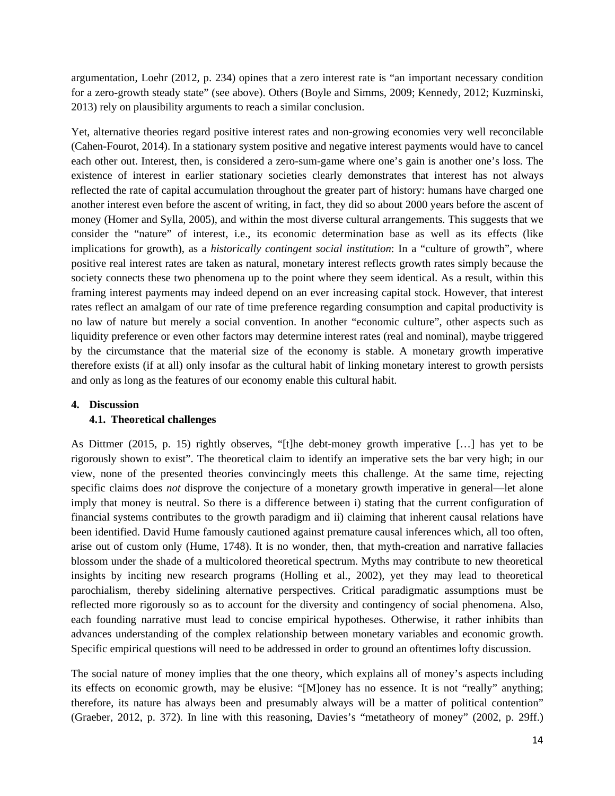argumentation, Loehr (2012, p. 234) opines that a zero interest rate is "an important necessary condition for a zero-growth steady state" (see above). Others (Boyle and Simms, 2009; Kennedy, 2012; Kuzminski, 2013) rely on plausibility arguments to reach a similar conclusion.

Yet, alternative theories regard positive interest rates and non-growing economies very well reconcilable (Cahen-Fourot, 2014). In a stationary system positive and negative interest payments would have to cancel each other out. Interest, then, is considered a zero-sum-game where one's gain is another one's loss. The existence of interest in earlier stationary societies clearly demonstrates that interest has not always reflected the rate of capital accumulation throughout the greater part of history: humans have charged one another interest even before the ascent of writing, in fact, they did so about 2000 years before the ascent of money (Homer and Sylla, 2005), and within the most diverse cultural arrangements. This suggests that we consider the "nature" of interest, i.e., its economic determination base as well as its effects (like implications for growth), as a *historically contingent social institution*: In a "culture of growth", where positive real interest rates are taken as natural, monetary interest reflects growth rates simply because the society connects these two phenomena up to the point where they seem identical. As a result, within this framing interest payments may indeed depend on an ever increasing capital stock. However, that interest rates reflect an amalgam of our rate of time preference regarding consumption and capital productivity is no law of nature but merely a social convention. In another "economic culture", other aspects such as liquidity preference or even other factors may determine interest rates (real and nominal), maybe triggered by the circumstance that the material size of the economy is stable. A monetary growth imperative therefore exists (if at all) only insofar as the cultural habit of linking monetary interest to growth persists and only as long as the features of our economy enable this cultural habit.

## **4. Discussion**

## **4.1. Theoretical challenges**

As Dittmer (2015, p. 15) rightly observes, "[t]he debt-money growth imperative […] has yet to be rigorously shown to exist". The theoretical claim to identify an imperative sets the bar very high; in our view, none of the presented theories convincingly meets this challenge. At the same time, rejecting specific claims does *not* disprove the conjecture of a monetary growth imperative in general—let alone imply that money is neutral. So there is a difference between i) stating that the current configuration of financial systems contributes to the growth paradigm and ii) claiming that inherent causal relations have been identified. David Hume famously cautioned against premature causal inferences which, all too often, arise out of custom only (Hume, 1748). It is no wonder, then, that myth-creation and narrative fallacies blossom under the shade of a multicolored theoretical spectrum. Myths may contribute to new theoretical insights by inciting new research programs (Holling et al., 2002), yet they may lead to theoretical parochialism, thereby sidelining alternative perspectives. Critical paradigmatic assumptions must be reflected more rigorously so as to account for the diversity and contingency of social phenomena. Also, each founding narrative must lead to concise empirical hypotheses. Otherwise, it rather inhibits than advances understanding of the complex relationship between monetary variables and economic growth. Specific empirical questions will need to be addressed in order to ground an oftentimes lofty discussion.

The social nature of money implies that the one theory, which explains all of money's aspects including its effects on economic growth, may be elusive: "[M]oney has no essence. It is not "really" anything; therefore, its nature has always been and presumably always will be a matter of political contention" (Graeber, 2012, p. 372). In line with this reasoning, Davies's "metatheory of money" (2002, p. 29ff.)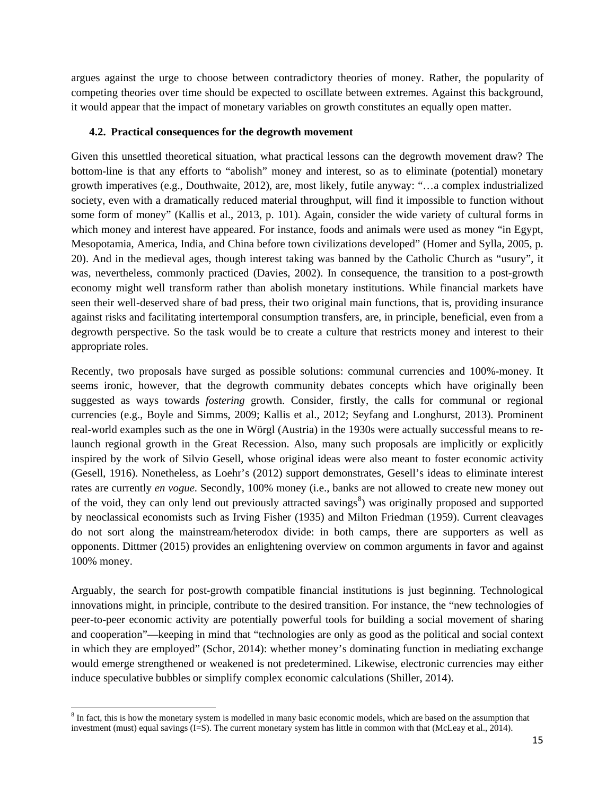argues against the urge to choose between contradictory theories of money. Rather, the popularity of competing theories over time should be expected to oscillate between extremes. Against this background, it would appear that the impact of monetary variables on growth constitutes an equally open matter.

## **4.2. Practical consequences for the degrowth movement**

Given this unsettled theoretical situation, what practical lessons can the degrowth movement draw? The bottom-line is that any efforts to "abolish" money and interest, so as to eliminate (potential) monetary growth imperatives (e.g., Douthwaite, 2012), are, most likely, futile anyway: "…a complex industrialized society, even with a dramatically reduced material throughput, will find it impossible to function without some form of money" (Kallis et al., 2013, p. 101). Again, consider the wide variety of cultural forms in which money and interest have appeared. For instance, foods and animals were used as money "in Egypt, Mesopotamia, America, India, and China before town civilizations developed" (Homer and Sylla, 2005, p. 20). And in the medieval ages, though interest taking was banned by the Catholic Church as "usury", it was, nevertheless, commonly practiced (Davies, 2002). In consequence, the transition to a post-growth economy might well transform rather than abolish monetary institutions. While financial markets have seen their well-deserved share of bad press, their two original main functions, that is, providing insurance against risks and facilitating intertemporal consumption transfers, are, in principle, beneficial, even from a degrowth perspective. So the task would be to create a culture that restricts money and interest to their appropriate roles.

Recently, two proposals have surged as possible solutions: communal currencies and 100%-money. It seems ironic, however, that the degrowth community debates concepts which have originally been suggested as ways towards *fostering* growth. Consider, firstly, the calls for communal or regional currencies (e.g., Boyle and Simms, 2009; Kallis et al., 2012; Seyfang and Longhurst, 2013). Prominent real-world examples such as the one in Wörgl (Austria) in the 1930s were actually successful means to relaunch regional growth in the Great Recession. Also, many such proposals are implicitly or explicitly inspired by the work of Silvio Gesell, whose original ideas were also meant to foster economic activity (Gesell, 1916). Nonetheless, as Loehr's (2012) support demonstrates, Gesell's ideas to eliminate interest rates are currently *en vogue*. Secondly, 100% money (i.e., banks are not allowed to create new money out of the void, they can only lend out previously attracted savings<sup>[8](#page-15-0)</sup>) was originally proposed and supported by neoclassical economists such as Irving Fisher (1935) and Milton Friedman (1959). Current cleavages do not sort along the mainstream/heterodox divide: in both camps, there are supporters as well as opponents. Dittmer (2015) provides an enlightening overview on common arguments in favor and against 100% money.

Arguably, the search for post-growth compatible financial institutions is just beginning. Technological innovations might, in principle, contribute to the desired transition. For instance, the "new technologies of peer-to-peer economic activity are potentially powerful tools for building a social movement of sharing and cooperation"—keeping in mind that "technologies are only as good as the political and social context in which they are employed" (Schor, 2014): whether money's dominating function in mediating exchange would emerge strengthened or weakened is not predetermined. Likewise, electronic currencies may either induce speculative bubbles or simplify complex economic calculations (Shiller, 2014).

 $\overline{\phantom{a}}$ 

<span id="page-15-0"></span><sup>&</sup>lt;sup>8</sup> In fact, this is how the monetary system is modelled in many basic economic models, which are based on the assumption that investment (must) equal savings (I=S). The current monetary system has little in common with that (McLeay et al., 2014).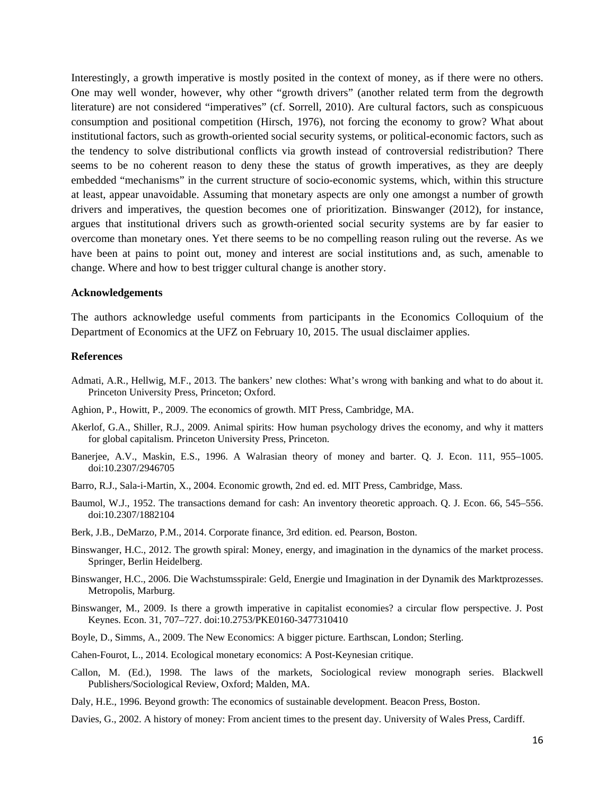Interestingly, a growth imperative is mostly posited in the context of money, as if there were no others. One may well wonder, however, why other "growth drivers" (another related term from the degrowth literature) are not considered "imperatives" (cf. Sorrell, 2010). Are cultural factors, such as conspicuous consumption and positional competition (Hirsch, 1976), not forcing the economy to grow? What about institutional factors, such as growth-oriented social security systems, or political-economic factors, such as the tendency to solve distributional conflicts via growth instead of controversial redistribution? There seems to be no coherent reason to deny these the status of growth imperatives, as they are deeply embedded "mechanisms" in the current structure of socio-economic systems, which, within this structure at least, appear unavoidable. Assuming that monetary aspects are only one amongst a number of growth drivers and imperatives, the question becomes one of prioritization. Binswanger (2012), for instance, argues that institutional drivers such as growth-oriented social security systems are by far easier to overcome than monetary ones. Yet there seems to be no compelling reason ruling out the reverse. As we have been at pains to point out, money and interest are social institutions and, as such, amenable to change. Where and how to best trigger cultural change is another story.

#### **Acknowledgements**

The authors acknowledge useful comments from participants in the Economics Colloquium of the Department of Economics at the UFZ on February 10, 2015. The usual disclaimer applies.

#### **References**

- Admati, A.R., Hellwig, M.F., 2013. The bankers' new clothes: What's wrong with banking and what to do about it. Princeton University Press, Princeton; Oxford.
- Aghion, P., Howitt, P., 2009. The economics of growth. MIT Press, Cambridge, MA.
- Akerlof, G.A., Shiller, R.J., 2009. Animal spirits: How human psychology drives the economy, and why it matters for global capitalism. Princeton University Press, Princeton.
- Banerjee, A.V., Maskin, E.S., 1996. A Walrasian theory of money and barter. Q. J. Econ. 111, 955–1005. doi:10.2307/2946705
- Barro, R.J., Sala-i-Martin, X., 2004. Economic growth, 2nd ed. ed. MIT Press, Cambridge, Mass.
- Baumol, W.J., 1952. The transactions demand for cash: An inventory theoretic approach. Q. J. Econ. 66, 545–556. doi:10.2307/1882104
- Berk, J.B., DeMarzo, P.M., 2014. Corporate finance, 3rd edition. ed. Pearson, Boston.
- Binswanger, H.C., 2012. The growth spiral: Money, energy, and imagination in the dynamics of the market process. Springer, Berlin Heidelberg.
- Binswanger, H.C., 2006. Die Wachstumsspirale: Geld, Energie und Imagination in der Dynamik des Marktprozesses. Metropolis, Marburg.
- Binswanger, M., 2009. Is there a growth imperative in capitalist economies? a circular flow perspective. J. Post Keynes. Econ. 31, 707–727. doi:10.2753/PKE0160-3477310410
- Boyle, D., Simms, A., 2009. The New Economics: A bigger picture. Earthscan, London; Sterling.
- Cahen-Fourot, L., 2014. Ecological monetary economics: A Post-Keynesian critique.
- Callon, M. (Ed.), 1998. The laws of the markets, Sociological review monograph series. Blackwell Publishers/Sociological Review, Oxford; Malden, MA.

Daly, H.E., 1996. Beyond growth: The economics of sustainable development. Beacon Press, Boston.

Davies, G., 2002. A history of money: From ancient times to the present day. University of Wales Press, Cardiff.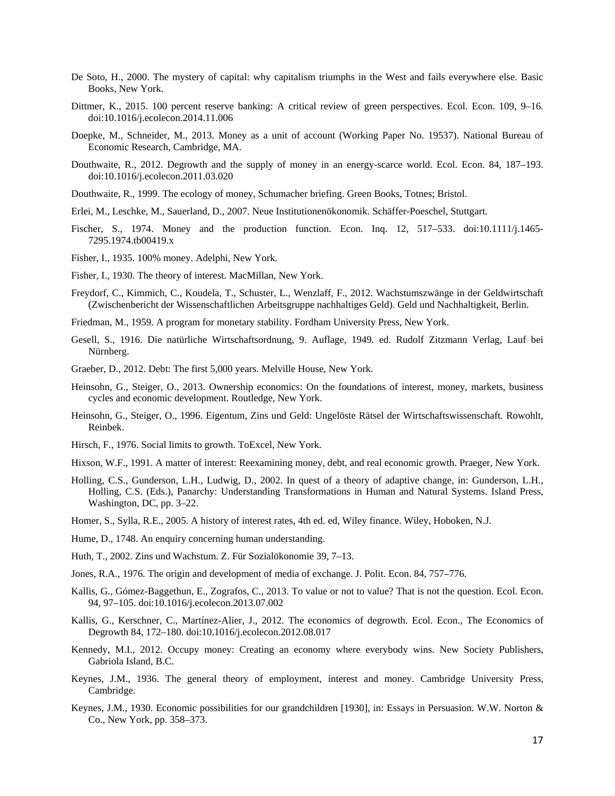- De Soto, H., 2000. The mystery of capital: why capitalism triumphs in the West and fails everywhere else. Basic Books, New York.
- Dittmer, K., 2015. 100 percent reserve banking: A critical review of green perspectives. Ecol. Econ. 109, 9–16. doi:10.1016/j.ecolecon.2014.11.006
- Doepke, M., Schneider, M., 2013. Money as a unit of account (Working Paper No. 19537). National Bureau of Economic Research, Cambridge, MA.
- Douthwaite, R., 2012. Degrowth and the supply of money in an energy-scarce world. Ecol. Econ. 84, 187–193. doi:10.1016/j.ecolecon.2011.03.020
- Douthwaite, R., 1999. The ecology of money, Schumacher briefing. Green Books, Totnes; Bristol.
- Erlei, M., Leschke, M., Sauerland, D., 2007. Neue Institutionenökonomik. Schäffer-Poeschel, Stuttgart.
- Fischer, S., 1974. Money and the production function. Econ. Inq. 12, 517–533. doi:10.1111/j.1465-7295.1974.tb00419.x
- Fisher, I., 1935. 100% money. Adelphi, New York.
- Fisher, I., 1930. The theory of interest. MacMillan, New York.
- Freydorf, C., Kimmich, C., Koudela, T., Schuster, L., Wenzlaff, F., 2012. Wachstumszwänge in der Geldwirtschaft (Zwischenbericht der Wissenschaftlichen Arbeitsgruppe nachhaltiges Geld). Geld und Nachhaltigkeit, Berlin.
- Friedman, M., 1959. A program for monetary stability. Fordham University Press, New York.
- Gesell, S., 1916. Die natürliche Wirtschaftsordnung, 9. Auflage, 1949. ed. Rudolf Zitzmann Verlag, Lauf bei Nürnberg.
- Graeber, D., 2012. Debt: The first 5,000 years. Melville House, New York.
- Heinsohn, G., Steiger, O., 2013. Ownership economics: On the foundations of interest, money, markets, business cycles and economic development. Routledge, New York.
- Heinsohn, G., Steiger, O., 1996. Eigentum, Zins und Geld: Ungelöste Rätsel der Wirtschaftswissenschaft. Rowohlt, Reinbek.
- Hirsch, F., 1976. Social limits to growth. ToExcel, New York.
- Hixson, W.F., 1991. A matter of interest: Reexamining money, debt, and real economic growth. Praeger, New York.
- Holling, C.S., Gunderson, L.H., Ludwig, D., 2002. In quest of a theory of adaptive change, in: Gunderson, L.H., Holling, C.S. (Eds.), Panarchy: Understanding Transformations in Human and Natural Systems. Island Press, Washington, DC, pp. 3–22.
- Homer, S., Sylla, R.E., 2005. A history of interest rates, 4th ed. ed, Wiley finance. Wiley, Hoboken, N.J.
- Hume, D., 1748. An enquiry concerning human understanding.
- Huth, T., 2002. Zins und Wachstum. Z. Für Sozialökonomie 39, 7–13.
- Jones, R.A., 1976. The origin and development of media of exchange. J. Polit. Econ. 84, 757–776.
- Kallis, G., Gómez-Baggethun, E., Zografos, C., 2013. To value or not to value? That is not the question. Ecol. Econ. 94, 97–105. doi:10.1016/j.ecolecon.2013.07.002
- Kallis, G., Kerschner, C., Martínez-Alier, J., 2012. The economics of degrowth. Ecol. Econ., The Economics of Degrowth 84, 172–180. doi:10.1016/j.ecolecon.2012.08.017
- Kennedy, M.I., 2012. Occupy money: Creating an economy where everybody wins. New Society Publishers, Gabriola Island, B.C.
- Keynes, J.M., 1936. The general theory of employment, interest and money. Cambridge University Press, Cambridge.
- Keynes, J.M., 1930. Economic possibilities for our grandchildren [1930], in: Essays in Persuasion. W.W. Norton & Co., New York, pp. 358–373.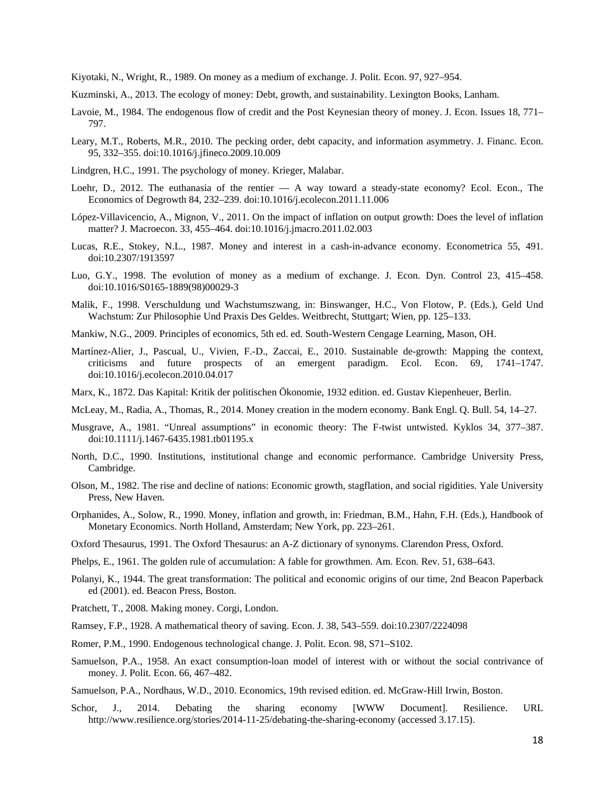Kiyotaki, N., Wright, R., 1989. On money as a medium of exchange. J. Polit. Econ. 97, 927–954.

- Kuzminski, A., 2013. The ecology of money: Debt, growth, and sustainability. Lexington Books, Lanham.
- Lavoie, M., 1984. The endogenous flow of credit and the Post Keynesian theory of money. J. Econ. Issues 18, 771– 797.
- Leary, M.T., Roberts, M.R., 2010. The pecking order, debt capacity, and information asymmetry. J. Financ. Econ. 95, 332–355. doi:10.1016/j.jfineco.2009.10.009
- Lindgren, H.C., 1991. The psychology of money. Krieger, Malabar.
- Loehr, D., 2012. The euthanasia of the rentier A way toward a steady-state economy? Ecol. Econ., The Economics of Degrowth 84, 232–239. doi:10.1016/j.ecolecon.2011.11.006
- López-Villavicencio, A., Mignon, V., 2011. On the impact of inflation on output growth: Does the level of inflation matter? J. Macroecon. 33, 455–464. doi:10.1016/j.jmacro.2011.02.003
- Lucas, R.E., Stokey, N.L., 1987. Money and interest in a cash-in-advance economy. Econometrica 55, 491. doi:10.2307/1913597
- Luo, G.Y., 1998. The evolution of money as a medium of exchange. J. Econ. Dyn. Control 23, 415–458. doi:10.1016/S0165-1889(98)00029-3
- Malik, F., 1998. Verschuldung und Wachstumszwang, in: Binswanger, H.C., Von Flotow, P. (Eds.), Geld Und Wachstum: Zur Philosophie Und Praxis Des Geldes. Weitbrecht, Stuttgart; Wien, pp. 125–133.
- Mankiw, N.G., 2009. Principles of economics, 5th ed. ed. South-Western Cengage Learning, Mason, OH.
- Martínez-Alier, J., Pascual, U., Vivien, F.-D., Zaccai, E., 2010. Sustainable de-growth: Mapping the context, criticisms and future prospects of an emergent paradigm. Ecol. Econ. 69, 1741–1747. doi:10.1016/j.ecolecon.2010.04.017
- Marx, K., 1872. Das Kapital: Kritik der politischen Ökonomie, 1932 edition. ed. Gustav Kiepenheuer, Berlin.
- McLeay, M., Radia, A., Thomas, R., 2014. Money creation in the modern economy. Bank Engl. Q. Bull. 54, 14–27.
- Musgrave, A., 1981. "Unreal assumptions" in economic theory: The F-twist untwisted. Kyklos 34, 377–387. doi:10.1111/j.1467-6435.1981.tb01195.x
- North, D.C., 1990. Institutions, institutional change and economic performance. Cambridge University Press, Cambridge.
- Olson, M., 1982. The rise and decline of nations: Economic growth, stagflation, and social rigidities. Yale University Press, New Haven.
- Orphanides, A., Solow, R., 1990. Money, inflation and growth, in: Friedman, B.M., Hahn, F.H. (Eds.), Handbook of Monetary Economics. North Holland, Amsterdam; New York, pp. 223–261.
- Oxford Thesaurus, 1991. The Oxford Thesaurus: an A-Z dictionary of synonyms. Clarendon Press, Oxford.
- Phelps, E., 1961. The golden rule of accumulation: A fable for growthmen. Am. Econ. Rev. 51, 638–643.
- Polanyi, K., 1944. The great transformation: The political and economic origins of our time, 2nd Beacon Paperback ed (2001). ed. Beacon Press, Boston.
- Pratchett, T., 2008. Making money. Corgi, London.
- Ramsey, F.P., 1928. A mathematical theory of saving. Econ. J. 38, 543–559. doi:10.2307/2224098
- Romer, P.M., 1990. Endogenous technological change. J. Polit. Econ. 98, S71–S102.
- Samuelson, P.A., 1958. An exact consumption-loan model of interest with or without the social contrivance of money. J. Polit. Econ. 66, 467–482.

Samuelson, P.A., Nordhaus, W.D., 2010. Economics, 19th revised edition. ed. McGraw-Hill Irwin, Boston.

Schor, J., 2014. Debating the sharing economy [WWW Document]. Resilience. URL http://www.resilience.org/stories/2014-11-25/debating-the-sharing-economy (accessed 3.17.15).